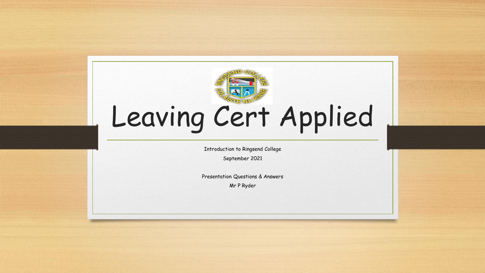

# Leaving Cert Applied

Introduction to Ringsend College

September 2021

Presentation Questions & Answers

Mr P Ryder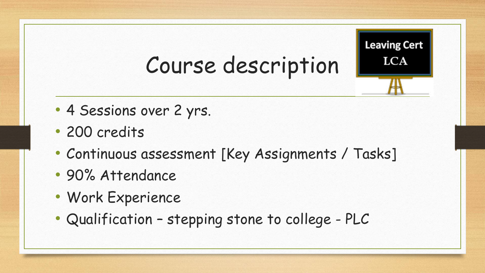## Course description

**Leaving Cert LCA** 

- 4 Sessions over 2 yrs.
- 200 credits
- Continuous assessment [Key Assignments / Tasks]
- 90% Attendance
- Work Experience
- Qualification stepping stone to college PLC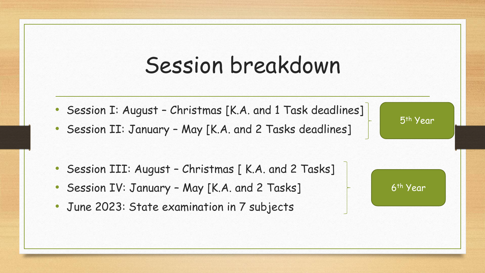#### Session breakdown

- Session I: August Christmas [K.A. and 1 Task deadlines]
- Session II: January May [K.A. and 2 Tasks deadlines]

- Session III: August Christmas [ K.A. and 2 Tasks]
- Session IV: January May [K.A. and 2 Tasks]
- June 2023: State examination in 7 subjects



5th Year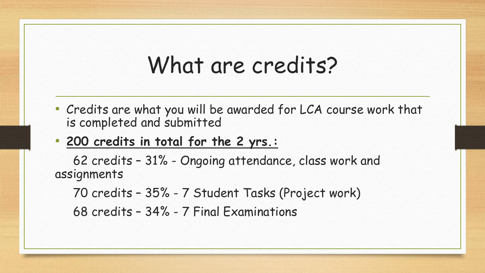#### What are credits?

- Credits are what you will be awarded for LCA course work that is completed and submitted
- **200 credits in total for the 2 yrs.:**

62 credits – 31% - Ongoing attendance, class work and assignments

70 credits – 35% - 7 Student Tasks (Project work) 68 credits – 34% - 7 Final Examinations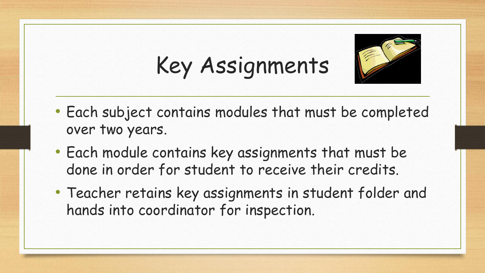# Key Assignments



- Each subject contains modules that must be completed over two years.
- Each module contains key assignments that must be done in order for student to receive their credits.
- Teacher retains key assignments in student folder and hands into coordinator for inspection.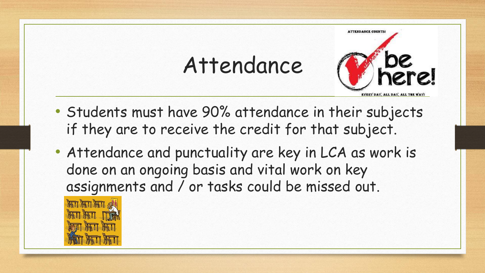### Attendance



- Students must have 90% attendance in their subjects if they are to receive the credit for that subject.
- Attendance and punctuality are key in LCA as work is done on an ongoing basis and vital work on key assignments and / or tasks could be missed out.

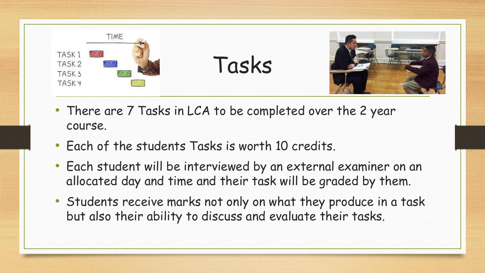

- There are 7 Tasks in LCA to be completed over the 2 year course.
- Each of the students Tasks is worth 10 credits.
- Each student will be interviewed by an external examiner on an allocated day and time and their task will be graded by them.
- Students receive marks not only on what they produce in a task but also their ability to discuss and evaluate their tasks.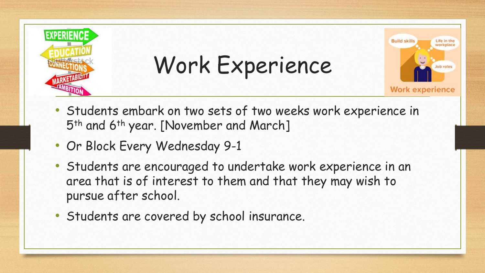

Work Experience



- Students embark on two sets of two weeks work experience in 5th and 6th year. [November and March]
- Or Block Every Wednesday 9-1
- Students are encouraged to undertake work experience in an area that is of interest to them and that they may wish to pursue after school.
- Students are covered by school insurance.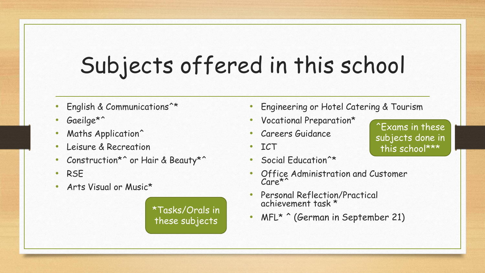# Subjects offered in this school

- English & Communications<sup>\*\*</sup>
- Gaeilge\*<sup>^</sup>
- Maths Application^
- Leisure & Recreation
- Construction\*^ or Hair & Beauty\*^
- RSE
- Arts Visual or Music\*

these subjects

- Engineering or Hotel Catering & Tourism
- Vocational Preparation\*
- Careers Guidance
- ICT
- Social Education<sup>^\*</sup>
- Office Administration and Customer Care\*^
- Personal Reflection/Practical achievement task \*
- \*Tasks/Orals in <br>these subjects MFL\* ^ (German in September 21)

^Exams in these subjects done in this school\*\*\*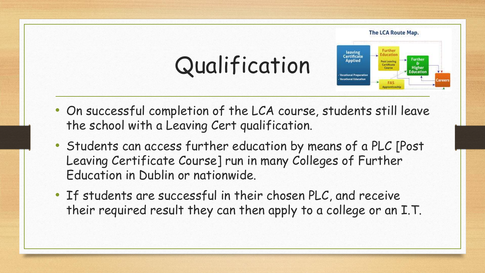

- On successful completion of the LCA course, students still leave the school with a Leaving Cert qualification.
- Students can access further education by means of a PLC [Post Leaving Certificate Course] run in many Colleges of Further Education in Dublin or nationwide.
- If students are successful in their chosen PLC, and receive their required result they can then apply to a college or an I.T.